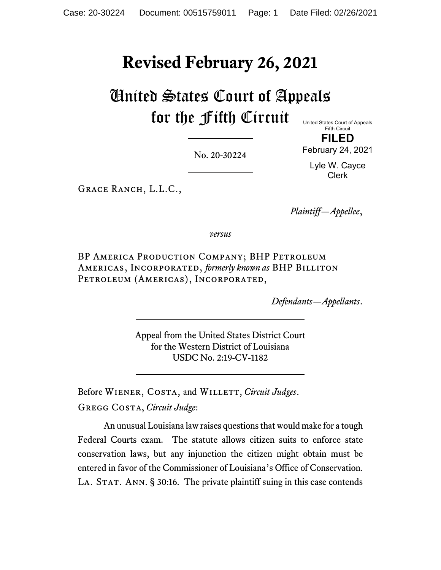# **Revised February 26, 2021**

United States Court of Appeals for the Fifth Circuit

United States Court of Appeals Fifth Circuit **FILED**

February 24, 2021

Lyle W. Cayce Clerk

No. 20-30224

GRACE RANCH, L.L.C.,

*Plaintiff—Appellee*,

*versus*

BP America Production Company; BHP Petroleum Americas, Incorporated, *formerly known as* BHP Billiton Petroleum (Americas), Incorporated,

*Defendants—Appellants*.

Appeal from the United States District Court for the Western District of Louisiana USDC No. 2:19-CV-1182

Before WIENER, COSTA, and WILLETT, *Circuit Judges*. Gregg Costa, *Circuit Judge*:

An unusual Louisiana lawraises questions that would make for a tough Federal Courts exam. The statute allows citizen suits to enforce state conservation laws, but any injunction the citizen might obtain must be entered in favor of the Commissioner of Louisiana's Office of Conservation. LA. STAT. ANN. § 30:16. The private plaintiff suing in this case contends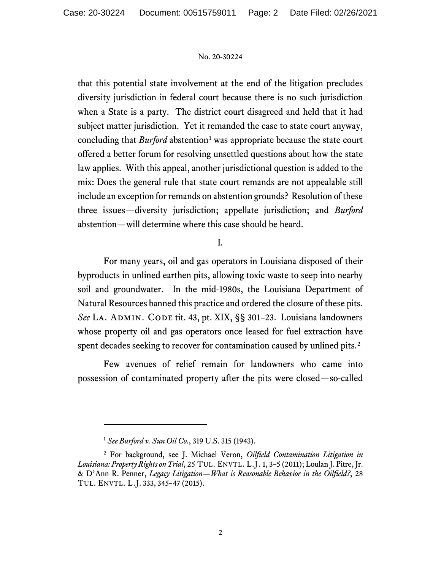that this potential state involvement at the end of the litigation precludes diversity jurisdiction in federal court because there is no such jurisdiction when a State is a party. The district court disagreed and held that it had subject matter jurisdiction. Yet it remanded the case to state court anyway, concluding that *Burford* abstention<sup>[1](#page-1-0)</sup> was appropriate because the state court offered a better forum for resolving unsettled questions about how the state law applies. With this appeal, another jurisdictional question is added to the mix: Does the general rule that state court remands are not appealable still include an exception for remands on abstention grounds? Resolution of these three issues—diversity jurisdiction; appellate jurisdiction; and *Burford*  abstention—will determine where this case should be heard.

# I.

For many years, oil and gas operators in Louisiana disposed of their byproducts in unlined earthen pits, allowing toxic waste to seep into nearby soil and groundwater. In the mid-1980s, the Louisiana Department of Natural Resources banned this practice and ordered the closure of these pits. See LA. ADMIN. CODE tit. 43, pt. XIX, §§ 301-23. Louisiana landowners whose property oil and gas operators once leased for fuel extraction have spent decades seeking to recover for contamination caused by unlined pits.<sup>2</sup>

Few avenues of relief remain for landowners who came into possession of contaminated property after the pits were closed—so-called

<sup>1</sup> *See Burford v. Sun Oil Co.*, 319 U.S. 315 (1943).

<span id="page-1-1"></span><span id="page-1-0"></span><sup>2</sup> For background, see J. Michael Veron, *Oilfield Contamination Litigation in Louisiana: Property Rights on Trial*, 25 TUL. ENVTL. L.J. 1, 3–5 (2011); Loulan J. Pitre, Jr. & D'Ann R. Penner, *Legacy Litigation—What is Reasonable Behavior in the Oilfield?*, 28 TUL. ENVTL. L.J. 333, 345–47 (2015).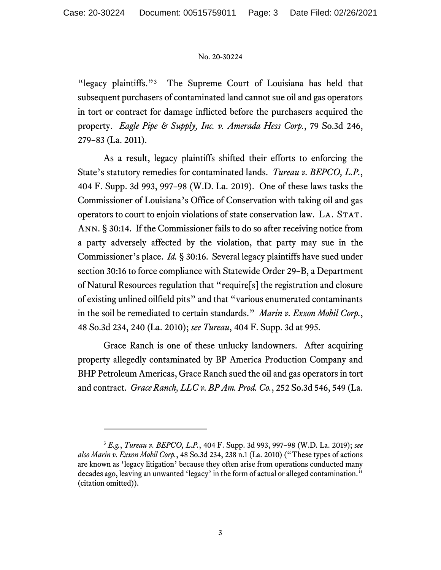"legacy plaintiffs."<sup>[3](#page-2-0)</sup> The Supreme Court of Louisiana has held that subsequent purchasers of contaminated land cannot sue oil and gas operators in tort or contract for damage inflicted before the purchasers acquired the property. *Eagle Pipe & Supply, Inc. v. Amerada Hess Corp.*, 79 So.3d 246, 279–83 (La. 2011).

As a result, legacy plaintiffs shifted their efforts to enforcing the State's statutory remedies for contaminated lands. *Tureau v. BEPCO, L.P.*, 404 F. Supp. 3d 993, 997–98 (W.D. La. 2019). One of these laws tasks the Commissioner of Louisiana's Office of Conservation with taking oil and gas operators to court to enjoin violations of state conservation law. LA. STAT. Ann. § 30:14. If the Commissioner fails to do so after receiving notice from a party adversely affected by the violation, that party may sue in the Commissioner's place. *Id.* § 30:16. Several legacy plaintiffs have sued under section 30:16 to force compliance with Statewide Order 29–B, a Department of Natural Resources regulation that "require[s] the registration and closure of existing unlined oilfield pits" and that "various enumerated contaminants in the soil be remediated to certain standards." *Marin v. Exxon Mobil Corp.*, 48 So.3d 234, 240 (La. 2010); *see Tureau*, 404 F. Supp. 3d at 995.

Grace Ranch is one of these unlucky landowners. After acquiring property allegedly contaminated by BP America Production Company and BHP Petroleum Americas, Grace Ranch sued the oil and gas operators in tort and contract. *Grace Ranch, LLC v. BP Am. Prod. Co.*, 252 So.3d 546, 549 (La.

<span id="page-2-0"></span><sup>3</sup> *E.g.*, *Tureau v. BEPCO, L.P.*, 404 F. Supp. 3d 993, 997–98 (W.D. La. 2019); *see also Marin v. Exxon Mobil Corp.*, 48 So.3d 234, 238 n.1 (La. 2010) ("These types of actions are known as 'legacy litigation' because they often arise from operations conducted many decades ago, leaving an unwanted 'legacy' in the form of actual or alleged contamination." (citation omitted)).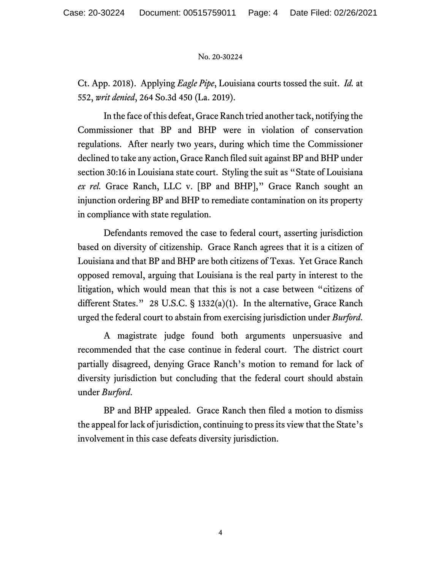Ct. App. 2018). Applying *Eagle Pipe*, Louisiana courts tossed the suit. *Id.* at 552, *writ denied*, 264 So.3d 450 (La. 2019).

In the face of this defeat, Grace Ranch tried another tack, notifying the Commissioner that BP and BHP were in violation of conservation regulations. After nearly two years, during which time the Commissioner declined to take any action, Grace Ranch filed suit against BP and BHP under section 30:16 in Louisiana state court. Styling the suit as "State of Louisiana *ex rel.* Grace Ranch, LLC v. [BP and BHP]," Grace Ranch sought an injunction ordering BP and BHP to remediate contamination on its property in compliance with state regulation.

Defendants removed the case to federal court, asserting jurisdiction based on diversity of citizenship. Grace Ranch agrees that it is a citizen of Louisiana and that BP and BHP are both citizens of Texas. Yet Grace Ranch opposed removal, arguing that Louisiana is the real party in interest to the litigation, which would mean that this is not a case between "citizens of different States." 28 U.S.C. § 1332(a)(1). In the alternative, Grace Ranch urged the federal court to abstain from exercising jurisdiction under *Burford*.

A magistrate judge found both arguments unpersuasive and recommended that the case continue in federal court. The district court partially disagreed, denying Grace Ranch's motion to remand for lack of diversity jurisdiction but concluding that the federal court should abstain under *Burford*.

BP and BHP appealed. Grace Ranch then filed a motion to dismiss the appeal for lack of jurisdiction, continuing to press its view that the State's involvement in this case defeats diversity jurisdiction.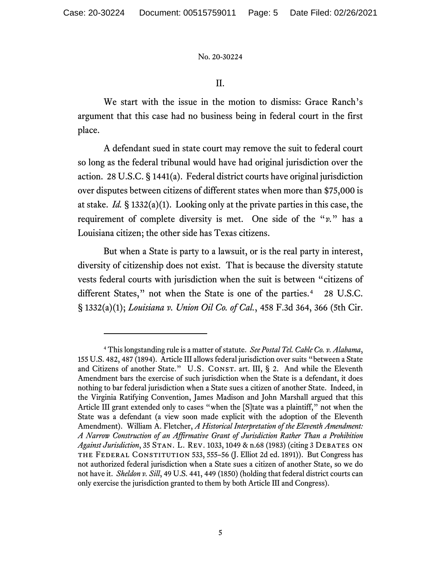II.

We start with the issue in the motion to dismiss: Grace Ranch's argument that this case had no business being in federal court in the first place.

A defendant sued in state court may remove the suit to federal court so long as the federal tribunal would have had original jurisdiction over the action. 28 U.S.C. § 1441(a). Federal district courts have original jurisdiction over disputes between citizens of different states when more than \$75,000 is at stake. *Id.* § 1332(a)(1). Looking only at the private parties in this case, the requirement of complete diversity is met. One side of the "*v.*" has a Louisiana citizen; the other side has Texas citizens.

But when a State is party to a lawsuit, or is the real party in interest, diversity of citizenship does not exist. That is because the diversity statute vests federal courts with jurisdiction when the suit is between "citizens of different States," not when the State is one of the parties.<sup>4</sup> 28 U.S.C. § 1332(a)(1); *Louisiana v. Union Oil Co. of Cal.*, 458 F.3d 364, 366 (5th Cir.

<span id="page-4-0"></span><sup>4</sup> This longstanding rule is a matter of statute. *See Postal Tel. Cable Co. v. Alabama*, 155 U.S. 482, 487 (1894). Article III allows federal jurisdiction over suits "between a State and Citizens of another State." U.S. CONST. art. III, § 2. And while the Eleventh Amendment bars the exercise of such jurisdiction when the State is a defendant, it does nothing to bar federal jurisdiction when a State sues a citizen of another State. Indeed, in the Virginia Ratifying Convention, James Madison and John Marshall argued that this Article III grant extended only to cases "when the [S]tate was a plaintiff," not when the State was a defendant (a view soon made explicit with the adoption of the Eleventh Amendment). William A. Fletcher, *A Historical Interpretation of the Eleventh Amendment: A Narrow Construction of an Affirmative Grant of Jurisdiction Rather Than a Prohibition*  Against Jurisdiction, 35 STAN. L. REV. 1033, 1049 & n.68 (1983) (citing 3 DEBATES ON the Federal Constitution 533, 555–56 (J. Elliot 2d ed. 1891)). But Congress has not authorized federal jurisdiction when a State sues a citizen of another State, so we do not have it. *Sheldon v. Sill*, 49 U.S. 441, 449 (1850) (holding that federal district courts can only exercise the jurisdiction granted to them by both Article III and Congress).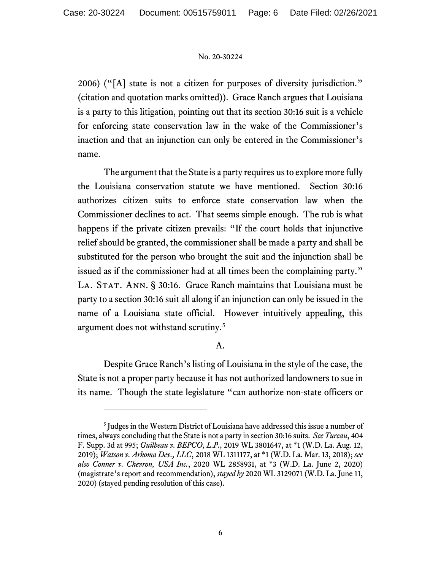2006) ("[A] state is not a citizen for purposes of diversity jurisdiction." (citation and quotation marks omitted)). Grace Ranch argues that Louisiana is a party to this litigation, pointing out that its section 30:16 suit is a vehicle for enforcing state conservation law in the wake of the Commissioner's inaction and that an injunction can only be entered in the Commissioner's name.

The argument that the State is a party requires us to explore more fully the Louisiana conservation statute we have mentioned. Section 30:16 authorizes citizen suits to enforce state conservation law when the Commissioner declines to act. That seems simple enough. The rub is what happens if the private citizen prevails: "If the court holds that injunctive relief should be granted, the commissioner shall be made a party and shall be substituted for the person who brought the suit and the injunction shall be issued as if the commissioner had at all times been the complaining party." LA. STAT. ANN. § 30:16. Grace Ranch maintains that Louisiana must be party to a section 30:16 suit all along if an injunction can only be issued in the name of a Louisiana state official. However intuitively appealing, this argument does not withstand scrutiny.[5](#page-5-0)

# A.

Despite Grace Ranch's listing of Louisiana in the style of the case, the State is not a proper party because it has not authorized landowners to sue in its name. Though the state legislature "can authorize non-state officers or

<span id="page-5-0"></span><sup>&</sup>lt;sup>5</sup> Judges in the Western District of Louisiana have addressed this issue a number of times, always concluding that the State is not a party in section 30:16 suits. *See Tureau*, 404 F. Supp. 3d at 995; *Guilbeau v. BEPCO, L.P.*, 2019 WL 3801647, at \*1 (W.D. La. Aug. 12, 2019); *Watson v. Arkoma Dev., LLC*, 2018 WL 1311177, at \*1 (W.D. La. Mar. 13, 2018); *see also Conner v. Chevron, USA Inc.*, 2020 WL 2858931, at \*3 (W.D. La. June 2, 2020) (magistrate's report and recommendation), *stayed by* 2020 WL 3129071 (W.D. La. June 11, 2020) (stayed pending resolution of this case).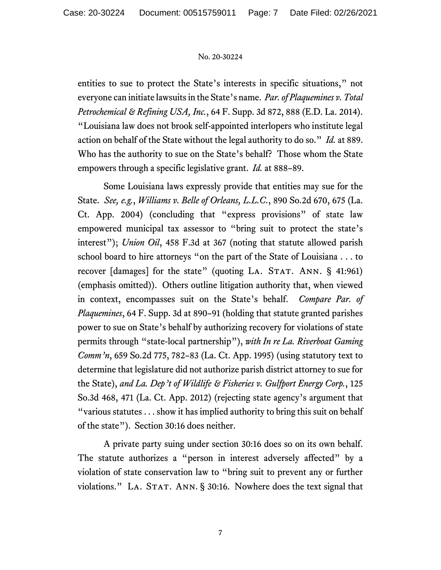entities to sue to protect the State's interests in specific situations," not everyone can initiate lawsuits in the State's name. *Par. of Plaquemines v. Total Petrochemical & Refining USA, Inc.*, 64 F. Supp. 3d 872, 888 (E.D. La. 2014). "Louisiana law does not brook self-appointed interlopers who institute legal action on behalf of the State without the legal authority to do so." *Id.* at 889. Who has the authority to sue on the State's behalf? Those whom the State empowers through a specific legislative grant. *Id.* at 888–89.

Some Louisiana laws expressly provide that entities may sue for the State. *See, e.g.*, *Williams v. Belle of Orleans, L.L.C.*, 890 So.2d 670, 675 (La. Ct. App. 2004) (concluding that "express provisions" of state law empowered municipal tax assessor to "bring suit to protect the state's interest"); *Union Oil*, 458 F.3d at 367 (noting that statute allowed parish school board to hire attorneys "on the part of the State of Louisiana . . . to recover  $\lceil$  damages $\rceil$  for the state" (quoting LA. STAT. ANN. § 41:961) (emphasis omitted)). Others outline litigation authority that, when viewed in context, encompasses suit on the State's behalf. *Compare Par. of Plaquemines*, 64 F. Supp. 3d at 890–91 (holding that statute granted parishes power to sue on State's behalf by authorizing recovery for violations of state permits through "state-local partnership"), *with In re La. Riverboat Gaming Comm'n*, 659 So.2d 775, 782–83 (La. Ct. App. 1995) (using statutory text to determine that legislature did not authorize parish district attorney to sue for the State), *and La. Dep't of Wildlife & Fisheries v. Gulfport Energy Corp.*, 125 So.3d 468, 471 (La. Ct. App. 2012) (rejecting state agency's argument that "various statutes . . . show it has implied authority to bring this suit on behalf of the state"). Section 30:16 does neither.

A private party suing under section 30:16 does so on its own behalf. The statute authorizes a "person in interest adversely affected" by a violation of state conservation law to "bring suit to prevent any or further violations." LA. STAT. ANN. § 30:16. Nowhere does the text signal that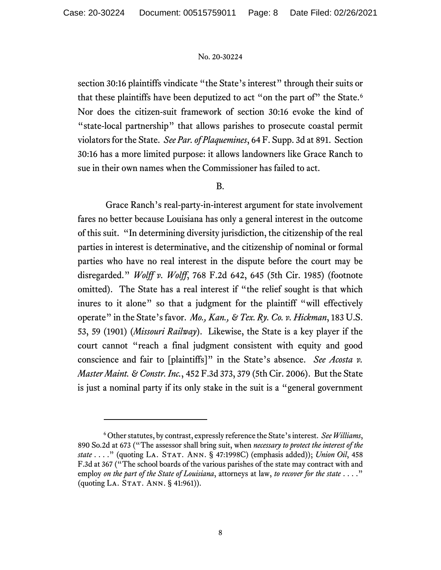section 30:16 plaintiffs vindicate "the State's interest" through their suits or that these plaintiffs have been deputized to act "on the part of" the State.<sup>[6](#page-7-0)</sup> Nor does the citizen-suit framework of section 30:16 evoke the kind of "state-local partnership" that allows parishes to prosecute coastal permit violators for the State. *See Par.of Plaquemines*, 64 F. Supp. 3d at 891. Section 30:16 has a more limited purpose: it allows landowners like Grace Ranch to sue in their own names when the Commissioner has failed to act.

# B.

Grace Ranch's real-party-in-interest argument for state involvement fares no better because Louisiana has only a general interest in the outcome of this suit. "In determining diversity jurisdiction, the citizenship of the real parties in interest is determinative, and the citizenship of nominal or formal parties who have no real interest in the dispute before the court may be disregarded." *Wolff v. Wolff*, 768 F.2d 642, 645 (5th Cir. 1985) (footnote omitted). The State has a real interest if "the relief sought is that which inures to it alone" so that a judgment for the plaintiff "will effectively operate" in the State's favor. *Mo., Kan., & Tex. Ry. Co. v. Hickman*, 183 U.S. 53, 59 (1901) (*Missouri Railway*). Likewise, the State is a key player if the court cannot "reach a final judgment consistent with equity and good conscience and fair to [plaintiffs]" in the State's absence. *See Acosta v. Master Maint. & Constr. Inc.*, 452 F.3d 373, 379 (5th Cir. 2006). But the State is just a nominal party if its only stake in the suit is a "general government

<span id="page-7-0"></span><sup>6</sup> Other statutes, by contrast, expressly reference the State's interest. *See Williams*, 890 So.2d at 673 ("The assessor shall bring suit, when *necessary to protect the interest of the state* . . . ." (quoting La. Stat. Ann. § 47:1998C) (emphasis added)); *Union Oil*, 458 F.3d at 367 ("The school boards of the various parishes of the state may contract with and employ *on the part of the State of Louisiana*, attorneys at law, *to recover for the state* . . . ." (quoting LA. STAT. ANN. § 41:961)).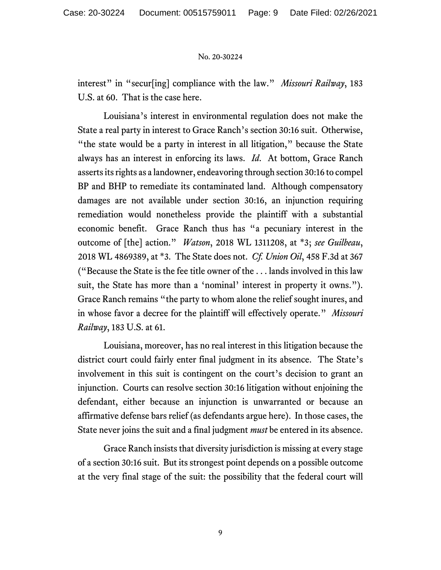interest" in "secur[ing] compliance with the law." *Missouri Railway*, 183 U.S. at 60. That is the case here.

Louisiana's interest in environmental regulation does not make the State a real party in interest to Grace Ranch's section 30:16 suit. Otherwise, "the state would be a party in interest in all litigation," because the State always has an interest in enforcing its laws. *Id*. At bottom, Grace Ranch asserts its rights as a landowner, endeavoring through section 30:16 to compel BP and BHP to remediate its contaminated land. Although compensatory damages are not available under section 30:16, an injunction requiring remediation would nonetheless provide the plaintiff with a substantial economic benefit. Grace Ranch thus has "a pecuniary interest in the outcome of [the] action." *Watson*, 2018 WL 1311208, at \*3; *see Guilbeau*, 2018 WL 4869389, at \*3. The State does not. *Cf. Union Oil*, 458 F.3d at 367 ("Because the State is the fee title owner of the . . . lands involved in this law suit, the State has more than a 'nominal' interest in property it owns."). Grace Ranch remains "the party to whom alone the relief sought inures, and in whose favor a decree for the plaintiff will effectively operate." *Missouri Railway*, 183 U.S. at 61.

Louisiana, moreover, has no real interest in this litigation because the district court could fairly enter final judgment in its absence. The State's involvement in this suit is contingent on the court's decision to grant an injunction. Courts can resolve section 30:16 litigation without enjoining the defendant, either because an injunction is unwarranted or because an affirmative defense bars relief (as defendants argue here). In those cases, the State never joins the suit and a final judgment *must* be entered in its absence.

Grace Ranch insists that diversity jurisdiction is missing at every stage of a section 30:16 suit. But its strongest point depends on a possible outcome at the very final stage of the suit: the possibility that the federal court will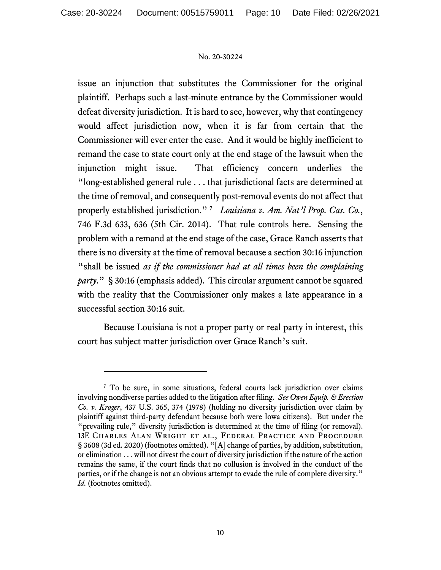issue an injunction that substitutes the Commissioner for the original plaintiff. Perhaps such a last-minute entrance by the Commissioner would defeat diversity jurisdiction. It is hard to see, however, why that contingency would affect jurisdiction now, when it is far from certain that the Commissioner will ever enter the case. And it would be highly inefficient to remand the case to state court only at the end stage of the lawsuit when the injunction might issue. That efficiency concern underlies the "long-established general rule . . . that jurisdictional facts are determined at the time of removal, and consequently post-removal events do not affect that properly established jurisdiction." [7](#page-9-0) *Louisiana v. Am. Nat'l Prop. Cas. Co.*, 746 F.3d 633, 636 (5th Cir. 2014). That rule controls here. Sensing the problem with a remand at the end stage of the case, Grace Ranch asserts that there is no diversity at the time of removal because a section 30:16 injunction "shall be issued *as if the commissioner had at all times been the complaining party*." § 30:16 (emphasis added). This circular argument cannot be squared with the reality that the Commissioner only makes a late appearance in a successful section 30:16 suit.

Because Louisiana is not a proper party or real party in interest, this court has subject matter jurisdiction over Grace Ranch's suit.

<span id="page-9-0"></span><sup>&</sup>lt;sup>7</sup> To be sure, in some situations, federal courts lack jurisdiction over claims involving nondiverse parties added to the litigation after filing. *See Owen Equip. & Erection Co. v. Kroger*, 437 U.S. 365, 374 (1978) (holding no diversity jurisdiction over claim by plaintiff against third-party defendant because both were Iowa citizens). But under the "prevailing rule," diversity jurisdiction is determined at the time of filing (or removal). 13E Charles Alan Wright et al., Federal Practice and Procedure § 3608 (3d ed. 2020) (footnotes omitted). "[A] change of parties, by addition, substitution, or elimination . . . will not divest the court of diversity jurisdiction if the nature of the action remains the same, if the court finds that no collusion is involved in the conduct of the parties, or if the change is not an obvious attempt to evade the rule of complete diversity." *Id.* (footnotes omitted).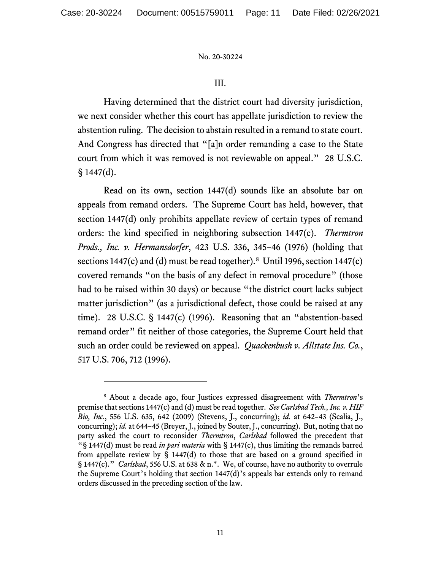# <span id="page-10-1"></span>III.

Having determined that the district court had diversity jurisdiction, we next consider whether this court has appellate jurisdiction to review the abstention ruling. The decision to abstain resulted in a remand to state court. And Congress has directed that "[a]n order remanding a case to the State court from which it was removed is not reviewable on appeal." 28 U.S.C.  $§ 1447(d).$ 

Read on its own, section 1447(d) sounds like an absolute bar on appeals from remand orders. The Supreme Court has held, however, that section 1447(d) only prohibits appellate review of certain types of remand orders: the kind specified in neighboring subsection 1447(c). *Thermtron Prods., Inc. v. Hermansdorfer*, 423 U.S. 336, 345–46 (1976) (holding that sections 1447(c) and (d) must be read together).<sup>8</sup> Until 1996, section 1447(c) covered remands "on the basis of any defect in removal procedure" (those had to be raised within 30 days) or because "the district court lacks subject matter jurisdiction" (as a jurisdictional defect, those could be raised at any time). 28 U.S.C. § 1447(c) (1996). Reasoning that an "abstention-based remand order" fit neither of those categories, the Supreme Court held that such an order could be reviewed on appeal. *Quackenbush v. Allstate Ins. Co.*, 517 U.S. 706, 712 (1996).

<span id="page-10-0"></span><sup>8</sup> About a decade ago, four Justices expressed disagreement with *Thermtron*'s premise that sections 1447(c) and (d) must be read together. *See Carlsbad Tech., Inc. v. HIF Bio, Inc.*, 556 U.S. 635, 642 (2009) (Stevens, J., concurring); *id.* at 642–43 (Scalia, J., concurring); *id.* at 644–45 (Breyer, J., joined by Souter, J., concurring). But, noting that no party asked the court to reconsider *Thermtron*, *Carlsbad* followed the precedent that "§ 1447(d) must be read *in pari materia* with § 1447(c), thus limiting the remands barred from appellate review by  $\S$  1447(d) to those that are based on a ground specified in § 1447(c)." *Carlsbad*, 556 U.S. at 638 & n.\*. We, of course, have no authority to overrule the Supreme Court's holding that section 1447(d)'s appeals bar extends only to remand orders discussed in the preceding section of the law.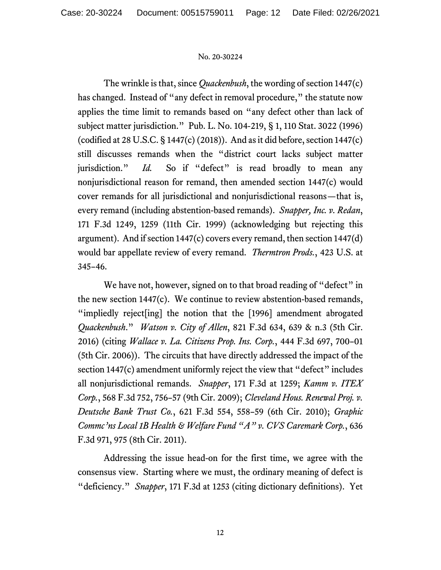The wrinkle is that, since *Quackenbush*, the wording of section 1447(c) has changed. Instead of "any defect in removal procedure," the statute now applies the time limit to remands based on "any defect other than lack of subject matter jurisdiction." Pub. L. No. 104-219, § 1, 110 Stat. 3022 (1996) (codified at 28 U.S.C. § 1447(c) (2018)). And as it did before, section 1447(c) still discusses remands when the "district court lacks subject matter jurisdiction." *Id*. So if "defect" is read broadly to mean any nonjurisdictional reason for remand, then amended section 1447(c) would cover remands for all jurisdictional and nonjurisdictional reasons—that is, every remand (including abstention-based remands). *Snapper, Inc. v. Redan*, 171 F.3d 1249, 1259 (11th Cir. 1999) (acknowledging but rejecting this argument). And if section 1447(c) covers every remand, then section 1447(d) would bar appellate review of every remand. *Thermtron Prods.*, 423 U.S. at 345–46.

We have not, however, signed on to that broad reading of "defect" in the new section 1447(c). We continue to review abstention-based remands, "impliedly reject[ing] the notion that the [1996] amendment abrogated *Quackenbush*." *Watson v. City of Allen*, 821 F.3d 634, 639 & n.3 (5th Cir. 2016) (citing *Wallace v. La. Citizens Prop. Ins. Corp.*, 444 F.3d 697, 700–01 (5th Cir. 2006)). The circuits that have directly addressed the impact of the section 1447(c) amendment uniformly reject the view that "defect" includes all nonjurisdictional remands. *Snapper*, 171 F.3d at 1259; *Kamm v. ITEX Corp.*, 568 F.3d 752, 756–57 (9th Cir. 2009); *Cleveland Hous. Renewal Proj. v. Deutsche Bank Trust Co.*, 621 F.3d 554, 558–59 (6th Cir. 2010); *Graphic Commc'ns Local 1B Health & Welfare Fund "A" v. CVS Caremark Corp.*, 636 F.3d 971, 975 (8th Cir. 2011).

Addressing the issue head-on for the first time, we agree with the consensus view. Starting where we must, the ordinary meaning of defect is "deficiency." *Snapper*, 171 F.3d at 1253 (citing dictionary definitions). Yet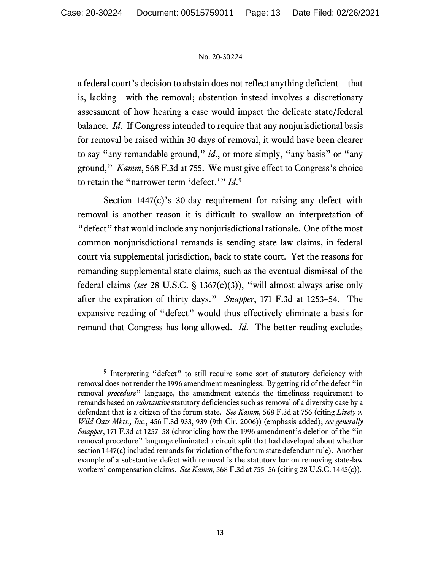a federal court's decision to abstain does not reflect anything deficient—that is, lacking—with the removal; abstention instead involves a discretionary assessment of how hearing a case would impact the delicate state/federal balance. *Id*. If Congress intended to require that any nonjurisdictional basis for removal be raised within 30 days of removal, it would have been clearer to say "any remandable ground," *id*., or more simply, "any basis" or "any ground," *Kamm*, 568 F.3d at 755. We must give effect to Congress's choice to retain the "narrower term 'defect.'" *Id*. [9](#page-12-0)

Section 1447(c)'s 30-day requirement for raising any defect with removal is another reason it is difficult to swallow an interpretation of "defect" that would include any nonjurisdictional rationale. One of the most common nonjurisdictional remands is sending state law claims, in federal court via supplemental jurisdiction, back to state court. Yet the reasons for remanding supplemental state claims, such as the eventual dismissal of the federal claims (*see* 28 U.S.C. § 1367(c)(3)), "will almost always arise only after the expiration of thirty days." *Snapper*, 171 F.3d at 1253–54. The expansive reading of "defect" would thus effectively eliminate a basis for remand that Congress has long allowed. *Id*. The better reading excludes

<span id="page-12-0"></span><sup>&</sup>lt;sup>9</sup> Interpreting "defect" to still require some sort of statutory deficiency with removal does not render the 1996 amendment meaningless. By getting rid of the defect "in removal *procedure*" language, the amendment extends the timeliness requirement to remands based on *substantive* statutory deficiencies such as removal of a diversity case by a defendant that is a citizen of the forum state. *See Kamm*, 568 F.3d at 756 (citing *Lively v. Wild Oats Mkts., Inc.*, 456 F.3d 933, 939 (9th Cir. 2006)) (emphasis added); *see generally Snapper*, 171 F.3d at 1257–58 (chronicling how the 1996 amendment's deletion of the "in removal procedure" language eliminated a circuit split that had developed about whether section 1447(c) included remands for violation of the forum state defendant rule). Another example of a substantive defect with removal is the statutory bar on removing state-law workers' compensation claims. *See Kamm*, 568 F.3d at 755–56 (citing 28 U.S.C. 1445(c)).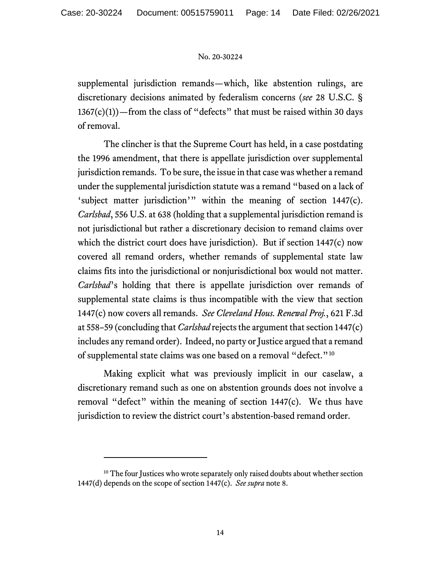supplemental jurisdiction remands—which, like abstention rulings, are discretionary decisions animated by federalism concerns (*see* 28 U.S.C. §  $1367(c)(1)$  – from the class of "defects" that must be raised within 30 days of removal.

The clincher is that the Supreme Court has held, in a case postdating the 1996 amendment, that there is appellate jurisdiction over supplemental jurisdiction remands. To be sure, the issue in that case was whether a remand under the supplemental jurisdiction statute was a remand "based on a lack of 'subject matter jurisdiction'" within the meaning of section 1447(c). *Carlsbad*, 556 U.S. at 638 (holding that a supplemental jurisdiction remand is not jurisdictional but rather a discretionary decision to remand claims over which the district court does have jurisdiction). But if section 1447(c) now covered all remand orders, whether remands of supplemental state law claims fits into the jurisdictional or nonjurisdictional box would not matter. *Carlsbad*'s holding that there is appellate jurisdiction over remands of supplemental state claims is thus incompatible with the view that section 1447(c) now covers all remands. *See Cleveland Hous. Renewal Proj.*, 621 F.3d at 558–59 (concluding that *Carlsbad* rejects the argument that section 1447(c) includes any remand order). Indeed, no party or Justice argued that a remand of supplemental state claims was one based on a removal "defect."<sup>10</sup>

Making explicit what was previously implicit in our caselaw, a discretionary remand such as one on abstention grounds does not involve a removal "defect" within the meaning of section 1447(c). We thus have jurisdiction to review the district court's abstention-based remand order.

<span id="page-13-0"></span><sup>&</sup>lt;sup>10</sup> The four Justices who wrote separately only raised doubts about whether section 1447(d) depends on the scope of section 1447(c). *See supra* not[e 8.](#page-10-1)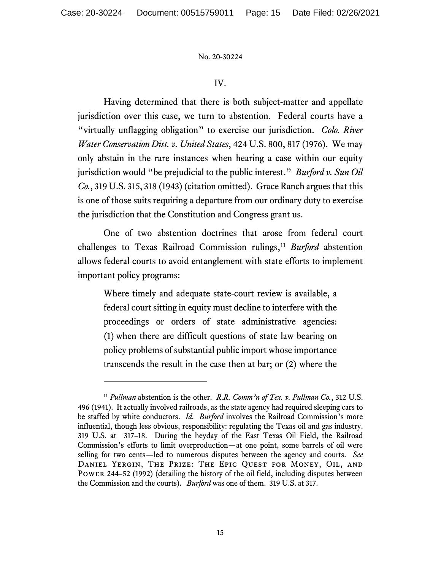# IV.

Having determined that there is both subject-matter and appellate jurisdiction over this case, we turn to abstention. Federal courts have a "virtually unflagging obligation" to exercise our jurisdiction. *Colo. River Water Conservation Dist. v. United States*, 424 U.S. 800, 817 (1976). We may only abstain in the rare instances when hearing a case within our equity jurisdiction would "be prejudicial to the public interest." *Burford v. Sun Oil Co.*, 319 U.S. 315, 318 (1943) (citation omitted). Grace Ranch argues that this is one of those suits requiring a departure from our ordinary duty to exercise the jurisdiction that the Constitution and Congress grant us.

One of two abstention doctrines that arose from federal court challenges to Texas Railroad Commission rulings,<sup>[11](#page-14-0)</sup> *Burford* abstention allows federal courts to avoid entanglement with state efforts to implement important policy programs:

Where timely and adequate state-court review is available, a federal court sitting in equity must decline to interfere with the proceedings or orders of state administrative agencies: (1) when there are difficult questions of state law bearing on policy problems of substantial public import whose importance transcends the result in the case then at bar; or (2) where the

<span id="page-14-0"></span><sup>11</sup> *Pullman* abstention is the other. *R.R. Comm'n of Tex. v. Pullman Co.*, 312 U.S. 496 (1941). It actually involved railroads, as the state agency had required sleeping cars to be staffed by white conductors. *Id. Burford* involves the Railroad Commission's more influential, though less obvious, responsibility: regulating the Texas oil and gas industry. 319 U.S. at 317–18. During the heyday of the East Texas Oil Field, the Railroad Commission's efforts to limit overproduction—at one point, some barrels of oil were selling for two cents—led to numerous disputes between the agency and courts. *See*  Daniel Yergin, The Prize: The Epic Quest for Money, Oil, and Power 244–52 (1992) (detailing the history of the oil field, including disputes between the Commission and the courts). *Burford* was one of them. 319 U.S. at 317.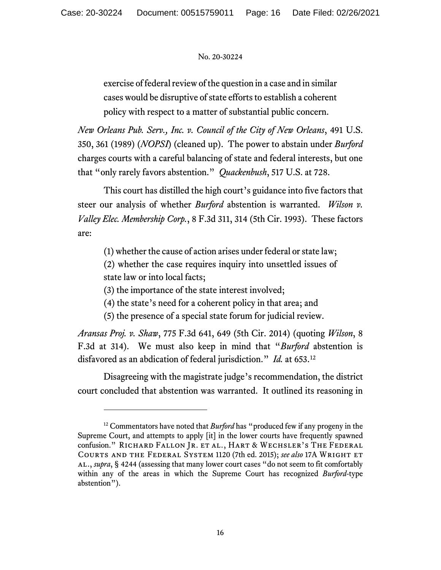exercise of federal review of the question in a case and in similar cases would be disruptive of state efforts to establish a coherent policy with respect to a matter of substantial public concern.

*New Orleans Pub. Serv., Inc. v. Council of the City of New Orleans*, 491 U.S. 350, 361 (1989) (*NOPSI*) (cleaned up). The power to abstain under *Burford* charges courts with a careful balancing of state and federal interests, but one that "only rarely favors abstention." *Quackenbush*, 517 U.S. at 728.

This court has distilled the high court's guidance into five factors that steer our analysis of whether *Burford* abstention is warranted. *Wilson v. Valley Elec. Membership Corp.*, 8 F.3d 311, 314 (5th Cir. 1993). These factors are:

(1) whether the cause of action arises under federal or state law;

(2) whether the case requires inquiry into unsettled issues of state law or into local facts;

(3) the importance of the state interest involved;

(4) the state's need for a coherent policy in that area; and

(5) the presence of a special state forum for judicial review.

*Aransas Proj. v. Shaw*, 775 F.3d 641, 649 (5th Cir. 2014) (quoting *Wilson*, 8 F.3d at 314). We must also keep in mind that "*Burford* abstention is disfavored as an abdication of federal jurisdiction." *Id.* at 653. [12](#page-15-0)

Disagreeing with the magistrate judge's recommendation, the district court concluded that abstention was warranted. It outlined its reasoning in

<span id="page-15-0"></span><sup>&</sup>lt;sup>12</sup> Commentators have noted that *Burford* has "produced few if any progeny in the Supreme Court, and attempts to apply [it] in the lower courts have frequently spawned confusion." RICHARD FALLON JR. ET AL., HART & WECHSLER'S THE FEDERAL Courts and the Federal System 1120 (7th ed. 2015); *see also* 17A Wright et al., *supra*, § 4244 (assessing that many lower court cases "do not seem to fit comfortably within any of the areas in which the Supreme Court has recognized *Burford*-type abstention").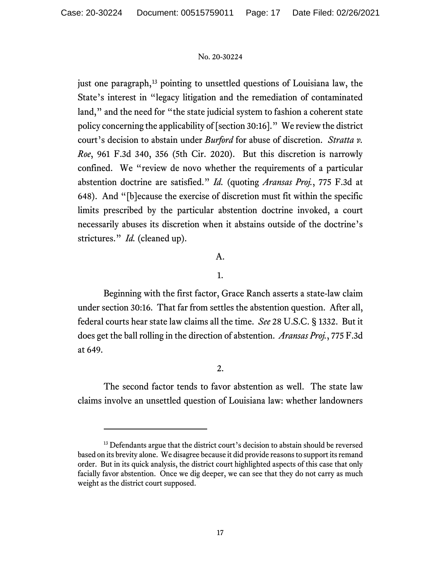just one paragraph,<sup>[13](#page-16-0)</sup> pointing to unsettled questions of Louisiana law, the State's interest in "legacy litigation and the remediation of contaminated land," and the need for "the state judicial system to fashion a coherent state policy concerning the applicability of [section 30:16]." We review the district court's decision to abstain under *Burford* for abuse of discretion. *Stratta v. Roe*, 961 F.3d 340, 356 (5th Cir. 2020). But this discretion is narrowly confined. We "review de novo whether the requirements of a particular abstention doctrine are satisfied." *Id.* (quoting *Aransas Proj.*, 775 F.3d at 648). And "[b]ecause the exercise of discretion must fit within the specific limits prescribed by the particular abstention doctrine invoked, a court necessarily abuses its discretion when it abstains outside of the doctrine's strictures." *Id.* (cleaned up).

# A.

# 1.

Beginning with the first factor, Grace Ranch asserts a state-law claim under section 30:16. That far from settles the abstention question. After all, federal courts hear state law claims all the time. *See* 28 U.S.C. § 1332. But it does get the ball rolling in the direction of abstention. *Aransas Proj.*, 775 F.3d at 649.

# 2.

The second factor tends to favor abstention as well. The state law claims involve an unsettled question of Louisiana law: whether landowners

<span id="page-16-0"></span><sup>&</sup>lt;sup>13</sup> Defendants argue that the district court's decision to abstain should be reversed based on its brevity alone. We disagree because it did provide reasons to support its remand order. But in its quick analysis, the district court highlighted aspects of this case that only facially favor abstention. Once we dig deeper, we can see that they do not carry as much weight as the district court supposed.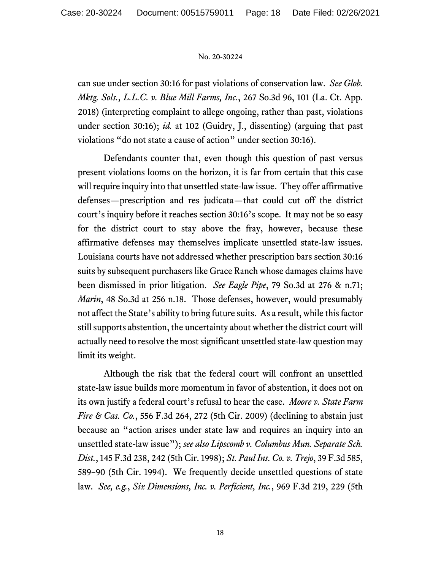can sue under section 30:16 for past violations of conservation law. *See Glob. Mktg. Sols., L.L.C. v. Blue Mill Farms, Inc.*, 267 So.3d 96, 101 (La. Ct. App. 2018) (interpreting complaint to allege ongoing, rather than past, violations under section 30:16); *id.* at 102 (Guidry, J., dissenting) (arguing that past violations "do not state a cause of action" under section 30:16).

Defendants counter that, even though this question of past versus present violations looms on the horizon, it is far from certain that this case will require inquiry into that unsettled state-law issue. They offer affirmative defenses—prescription and res judicata—that could cut off the district court's inquiry before it reaches section 30:16's scope. It may not be so easy for the district court to stay above the fray, however, because these affirmative defenses may themselves implicate unsettled state-law issues. Louisiana courts have not addressed whether prescription bars section 30:16 suits by subsequent purchasers like Grace Ranch whose damages claims have been dismissed in prior litigation. *See Eagle Pipe*, 79 So.3d at 276 & n.71; *Marin*, 48 So.3d at 256 n.18. Those defenses, however, would presumably not affect the State's ability to bring future suits. As a result, while this factor still supports abstention, the uncertainty about whether the district court will actually need to resolve the most significant unsettled state-law question may limit its weight.

Although the risk that the federal court will confront an unsettled state-law issue builds more momentum in favor of abstention, it does not on its own justify a federal court's refusal to hear the case. *Moore v. State Farm Fire & Cas. Co.*, 556 F.3d 264, 272 (5th Cir. 2009) (declining to abstain just because an "action arises under state law and requires an inquiry into an unsettled state-law issue"); *see also Lipscomb v. Columbus Mun. Separate Sch. Dist.*, 145 F.3d 238, 242 (5th Cir. 1998); *St. Paul Ins. Co. v. Trejo*, 39 F.3d 585, 589–90 (5th Cir. 1994). We frequently decide unsettled questions of state law. *See, e.g.*, *Six Dimensions, Inc. v. Perficient, Inc.*, 969 F.3d 219, 229 (5th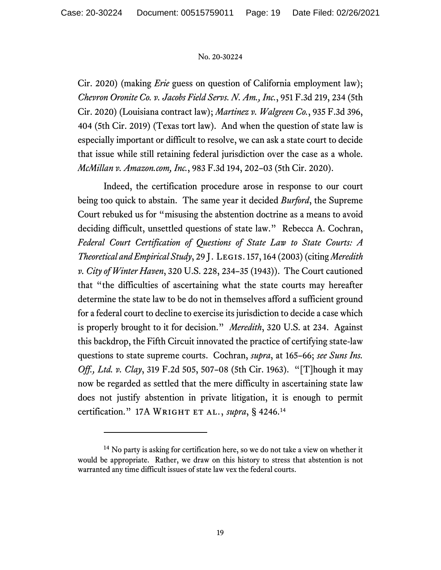Cir. 2020) (making *Erie* guess on question of California employment law); *Chevron Oronite Co. v. Jacobs Field Servs. N. Am., Inc.*, 951 F.3d 219, 234 (5th Cir. 2020) (Louisiana contract law); *Martinez v. Walgreen Co.*, 935 F.3d 396, 404 (5th Cir. 2019) (Texas tort law). And when the question of state law is especially important or difficult to resolve, we can ask a state court to decide that issue while still retaining federal jurisdiction over the case as a whole. *McMillan v. Amazon.com, Inc.*, 983 F.3d 194, 202–03 (5th Cir. 2020).

Indeed, the certification procedure arose in response to our court being too quick to abstain. The same year it decided *Burford*, the Supreme Court rebuked us for "misusing the abstention doctrine as a means to avoid deciding difficult, unsettled questions of state law." Rebecca A. Cochran, *Federal Court Certification of Questions of State Law to State Courts: A Theoretical and Empirical Study*, 29 J. Legis. 157, 164 (2003) (citing *Meredith v. City of Winter Haven*, 320 U.S. 228, 234–35 (1943)). The Court cautioned that "the difficulties of ascertaining what the state courts may hereafter determine the state law to be do not in themselves afford a sufficient ground for a federal court to decline to exercise its jurisdiction to decide a case which is properly brought to it for decision." *Meredith*, 320 U.S. at 234. Against this backdrop, the Fifth Circuit innovated the practice of certifying state-law questions to state supreme courts. Cochran, *supra*, at 165–66; *see Suns Ins. Off., Ltd. v. Clay*, 319 F.2d 505, 507–08 (5th Cir. 1963). "[T]hough it may now be regarded as settled that the mere difficulty in ascertaining state law does not justify abstention in private litigation, it is enough to permit certification." 17A WRIGHT ET AL., *supra*, § 4246.<sup>14</sup>

<span id="page-18-0"></span> $14$  No party is asking for certification here, so we do not take a view on whether it would be appropriate. Rather, we draw on this history to stress that abstention is not warranted any time difficult issues of state law vex the federal courts.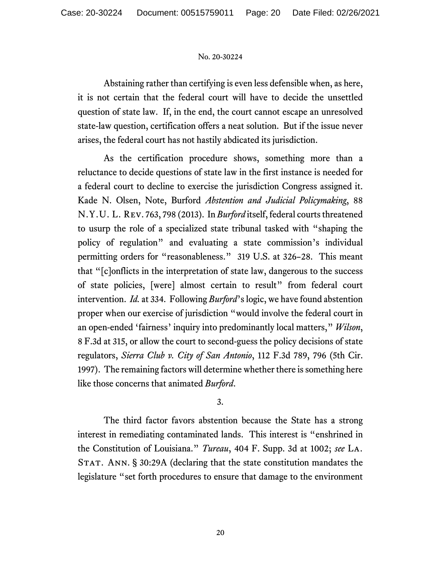Abstaining rather than certifying is even less defensible when, as here, it is not certain that the federal court will have to decide the unsettled question of state law. If, in the end, the court cannot escape an unresolved state-law question, certification offers a neat solution. But if the issue never arises, the federal court has not hastily abdicated its jurisdiction.

As the certification procedure shows, something more than a reluctance to decide questions of state law in the first instance is needed for a federal court to decline to exercise the jurisdiction Congress assigned it. Kade N. Olsen, Note, Burford *Abstention and Judicial Policymaking*, 88 N.Y.U. L. Rev. 763, 798 (2013). In *Burford* itself, federal courts threatened to usurp the role of a specialized state tribunal tasked with "shaping the policy of regulation" and evaluating a state commission's individual permitting orders for "reasonableness." 319 U.S. at 326–28. This meant that "[c]onflicts in the interpretation of state law, dangerous to the success of state policies, [were] almost certain to result" from federal court intervention. *Id.* at 334. Following *Burford*'s logic, we have found abstention proper when our exercise of jurisdiction "would involve the federal court in an open-ended 'fairness' inquiry into predominantly local matters," *Wilson*, 8 F.3d at 315, or allow the court to second-guess the policy decisions of state regulators, *Sierra Club v. City of San Antonio*, 112 F.3d 789, 796 (5th Cir. 1997). The remaining factors will determine whether there is something here like those concerns that animated *Burford*.

# 3.

The third factor favors abstention because the State has a strong interest in remediating contaminated lands. This interest is "enshrined in the Constitution of Louisiana." *Tureau*, 404 F. Supp. 3d at 1002; *see* La. STAT. ANN. § 30:29A (declaring that the state constitution mandates the legislature "set forth procedures to ensure that damage to the environment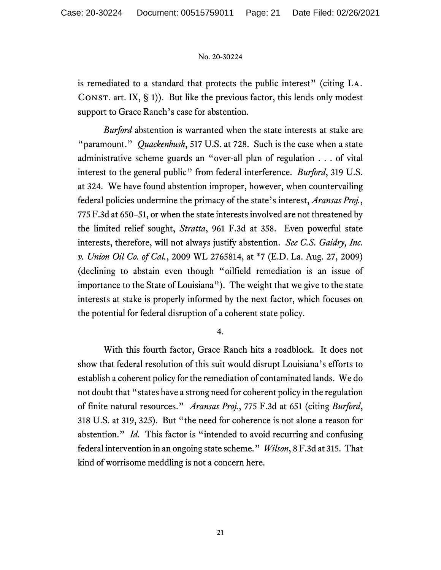is remediated to a standard that protects the public interest" (citing La. CONST. art. IX,  $\S$  1)). But like the previous factor, this lends only modest support to Grace Ranch's case for abstention.

*Burford* abstention is warranted when the state interests at stake are "paramount." *Quackenbush*, 517 U.S. at 728. Such is the case when a state administrative scheme guards an "over-all plan of regulation . . . of vital interest to the general public" from federal interference. *Burford*, 319 U.S. at 324. We have found abstention improper, however, when countervailing federal policies undermine the primacy of the state's interest, *Aransas Proj.*, 775 F.3d at 650–51, or when the state interests involved are not threatened by the limited relief sought, *Stratta*, 961 F.3d at 358. Even powerful state interests, therefore, will not always justify abstention. *See C.S. Gaidry, Inc. v. Union Oil Co. of Cal.*, 2009 WL 2765814, at \*7 (E.D. La. Aug. 27, 2009) (declining to abstain even though "oilfield remediation is an issue of importance to the State of Louisiana"). The weight that we give to the state interests at stake is properly informed by the next factor, which focuses on the potential for federal disruption of a coherent state policy.

4.

With this fourth factor, Grace Ranch hits a roadblock. It does not show that federal resolution of this suit would disrupt Louisiana's efforts to establish a coherent policy for the remediation of contaminated lands. We do not doubt that "states have a strong need for coherent policy in the regulation of finite natural resources." *Aransas Proj.*, 775 F.3d at 651 (citing *Burford*, 318 U.S. at 319, 325). But "the need for coherence is not alone a reason for abstention." *Id.* This factor is "intended to avoid recurring and confusing federal intervention in an ongoing state scheme." *Wilson*, 8 F.3d at 315. That kind of worrisome meddling is not a concern here.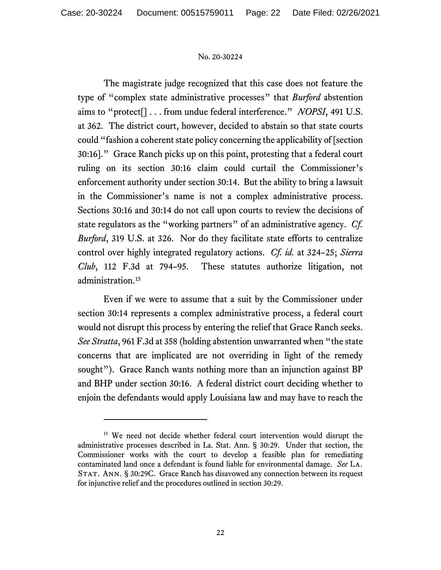The magistrate judge recognized that this case does not feature the type of "complex state administrative processes" that *Burford* abstention aims to "protect[] . . . from undue federal interference." *NOPSI*, 491 U.S. at 362. The district court, however, decided to abstain so that state courts could "fashion a coherent state policy concerning the applicability of [section 30:16]." Grace Ranch picks up on this point, protesting that a federal court ruling on its section 30:16 claim could curtail the Commissioner's enforcement authority under section 30:14. But the ability to bring a lawsuit in the Commissioner's name is not a complex administrative process. Sections 30:16 and 30:14 do not call upon courts to review the decisions of state regulators as the "working partners" of an administrative agency. *Cf. Burford*, 319 U.S. at 326. Nor do they facilitate state efforts to centralize control over highly integrated regulatory actions. *Cf. id.* at 324–25; *Sierra Club*, 112 F.3d at 794–95. These statutes authorize litigation, not administration.<sup>[15](#page-21-0)</sup>

Even if we were to assume that a suit by the Commissioner under section 30:14 represents a complex administrative process, a federal court would not disrupt this process by entering the relief that Grace Ranch seeks. *See Stratta*, 961 F.3d at 358 (holding abstention unwarranted when "the state concerns that are implicated are not overriding in light of the remedy sought"). Grace Ranch wants nothing more than an injunction against BP and BHP under section 30:16. A federal district court deciding whether to enjoin the defendants would apply Louisiana law and may have to reach the

<span id="page-21-0"></span><sup>&</sup>lt;sup>15</sup> We need not decide whether federal court intervention would disrupt the administrative processes described in La. Stat. Ann. § 30:29. Under that section, the Commissioner works with the court to develop a feasible plan for remediating contaminated land once a defendant is found liable for environmental damage. *See* La. STAT. ANN. § 30:29C. Grace Ranch has disavowed any connection between its request for injunctive relief and the procedures outlined in section 30:29.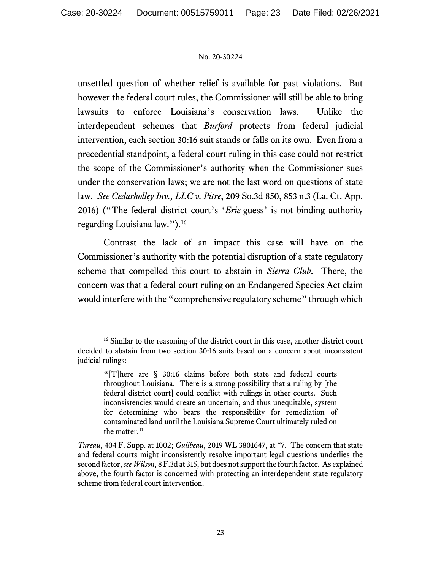unsettled question of whether relief is available for past violations. But however the federal court rules, the Commissioner will still be able to bring lawsuits to enforce Louisiana's conservation laws. Unlike the interdependent schemes that *Burford* protects from federal judicial intervention, each section 30:16 suit stands or falls on its own. Even from a precedential standpoint, a federal court ruling in this case could not restrict the scope of the Commissioner's authority when the Commissioner sues under the conservation laws; we are not the last word on questions of state law. *See Cedarholley Inv., LLC v. Pitre*, 209 So.3d 850, 853 n.3 (La. Ct. App. 2016) ("The federal district court's '*Erie*-guess' is not binding authority regarding Louisiana law.").[16](#page-22-0)

Contrast the lack of an impact this case will have on the Commissioner's authority with the potential disruption of a state regulatory scheme that compelled this court to abstain in *Sierra Club*. There, the concern was that a federal court ruling on an Endangered Species Act claim would interfere with the "comprehensive regulatory scheme" through which

<span id="page-22-0"></span><sup>&</sup>lt;sup>16</sup> Similar to the reasoning of the district court in this case, another district court decided to abstain from two section 30:16 suits based on a concern about inconsistent judicial rulings:

<sup>&</sup>quot;[T]here are § 30:16 claims before both state and federal courts throughout Louisiana. There is a strong possibility that a ruling by [the federal district court] could conflict with rulings in other courts. Such inconsistencies would create an uncertain, and thus unequitable, system for determining who bears the responsibility for remediation of contaminated land until the Louisiana Supreme Court ultimately ruled on the matter."

*Tureau*, 404 F. Supp. at 1002; *Guilbeau*, 2019 WL 3801647, at \*7. The concern that state and federal courts might inconsistently resolve important legal questions underlies the second factor, *see Wilson*, 8 F.3d at 315, but does not support the fourth factor. As explained above, the fourth factor is concerned with protecting an interdependent state regulatory scheme from federal court intervention.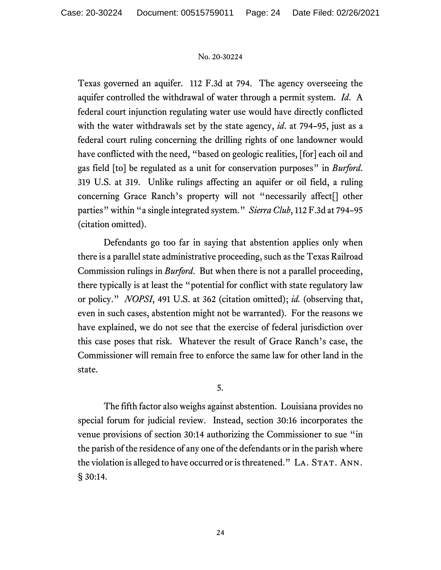Texas governed an aquifer. 112 F.3d at 794. The agency overseeing the aquifer controlled the withdrawal of water through a permit system. *Id*. A federal court injunction regulating water use would have directly conflicted with the water withdrawals set by the state agency, *id*. at 794–95, just as a federal court ruling concerning the drilling rights of one landowner would have conflicted with the need, "based on geologic realities, [for] each oil and gas field [to] be regulated as a unit for conservation purposes" in *Burford*. 319 U.S. at 319. Unlike rulings affecting an aquifer or oil field, a ruling concerning Grace Ranch's property will not "necessarily affect[] other parties" within "a single integrated system." *Sierra Club*, 112 F.3d at 794–95 (citation omitted).

Defendants go too far in saying that abstention applies only when there is a parallel state administrative proceeding, such as the Texas Railroad Commission rulings in *Burford*. But when there is not a parallel proceeding, there typically is at least the "potential for conflict with state regulatory law or policy." *NOPSI*, 491 U.S. at 362 (citation omitted); *id.* (observing that, even in such cases, abstention might not be warranted). For the reasons we have explained, we do not see that the exercise of federal jurisdiction over this case poses that risk. Whatever the result of Grace Ranch's case, the Commissioner will remain free to enforce the same law for other land in the state.

5.

The fifth factor also weighs against abstention. Louisiana provides no special forum for judicial review. Instead, section 30:16 incorporates the venue provisions of section 30:14 authorizing the Commissioner to sue "in the parish of the residence of any one of the defendants or in the parish where the violation is alleged to have occurred or is threatened." LA. STAT. ANN. § 30:14.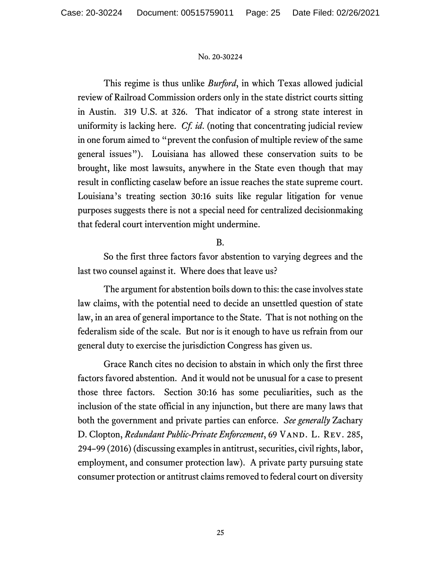This regime is thus unlike *Burford*, in which Texas allowed judicial review of Railroad Commission orders only in the state district courts sitting in Austin. 319 U.S. at 326. That indicator of a strong state interest in uniformity is lacking here. *Cf. id*. (noting that concentrating judicial review in one forum aimed to "prevent the confusion of multiple review of the same general issues"). Louisiana has allowed these conservation suits to be brought, like most lawsuits, anywhere in the State even though that may result in conflicting caselaw before an issue reaches the state supreme court. Louisiana's treating section 30:16 suits like regular litigation for venue purposes suggests there is not a special need for centralized decisionmaking that federal court intervention might undermine.

# B.

So the first three factors favor abstention to varying degrees and the last two counsel against it. Where does that leave us?

The argument for abstention boils down to this: the case involves state law claims, with the potential need to decide an unsettled question of state law, in an area of general importance to the State. That is not nothing on the federalism side of the scale. But nor is it enough to have us refrain from our general duty to exercise the jurisdiction Congress has given us.

Grace Ranch cites no decision to abstain in which only the first three factors favored abstention. And it would not be unusual for a case to present those three factors. Section 30:16 has some peculiarities, such as the inclusion of the state official in any injunction, but there are many laws that both the government and private parties can enforce. *See generally* Zachary D. Clopton, *Redundant Public-Private Enforcement*, 69 VAND. L. REV. 285, 294–99 (2016)(discussing examples in antitrust, securities, civil rights, labor, employment, and consumer protection law). A private party pursuing state consumer protection or antitrust claims removed to federal court on diversity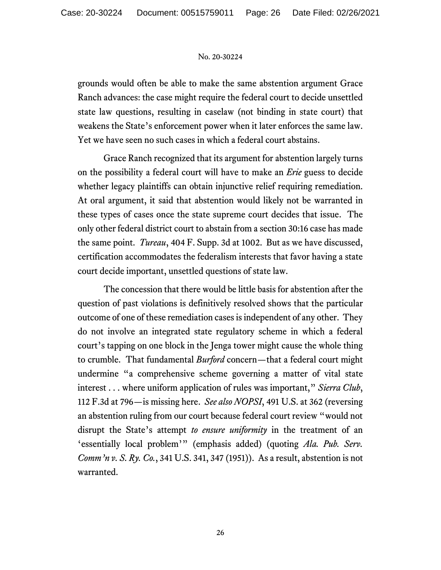grounds would often be able to make the same abstention argument Grace Ranch advances: the case might require the federal court to decide unsettled state law questions, resulting in caselaw (not binding in state court) that weakens the State's enforcement power when it later enforces the same law. Yet we have seen no such cases in which a federal court abstains.

Grace Ranch recognized that its argument for abstention largely turns on the possibility a federal court will have to make an *Erie* guess to decide whether legacy plaintiffs can obtain injunctive relief requiring remediation. At oral argument, it said that abstention would likely not be warranted in these types of cases once the state supreme court decides that issue. The only other federal district court to abstain from a section 30:16 case has made the same point. *Tureau*, 404 F. Supp. 3d at 1002. But as we have discussed, certification accommodates the federalism interests that favor having a state court decide important, unsettled questions of state law.

The concession that there would be little basis for abstention after the question of past violations is definitively resolved shows that the particular outcome of one of these remediation cases is independent of any other. They do not involve an integrated state regulatory scheme in which a federal court's tapping on one block in the Jenga tower might cause the whole thing to crumble. That fundamental *Burford* concern—that a federal court might undermine "a comprehensive scheme governing a matter of vital state interest . . . where uniform application of rules was important," *Sierra Club*, 112 F.3d at 796—is missing here. *See also NOPSI*, 491 U.S. at 362 (reversing an abstention ruling from our court because federal court review "would not disrupt the State's attempt *to ensure uniformity* in the treatment of an 'essentially local problem'" (emphasis added) (quoting *Ala. Pub. Serv. Comm'n v. S. Ry. Co.*, 341 U.S. 341, 347 (1951)). As a result, abstention is not warranted.